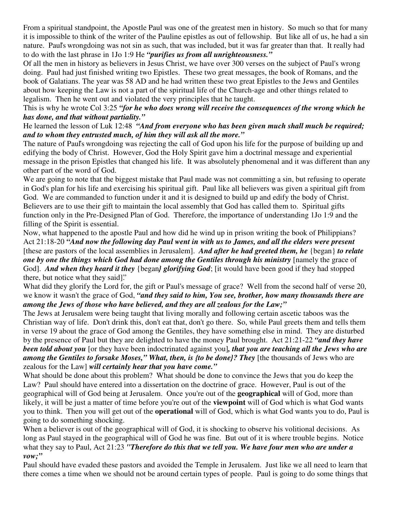From a spiritual standpoint, the Apostle Paul was one of the greatest men in history. So much so that for many it is impossible to think of the writer of the Pauline epistles as out of fellowship. But like all of us, he had a sin nature. Paul's wrongdoing was not sin as such, that was included, but it was far greater than that. It really had to do with the last phrase in 1Jo 1:9 He *"purifies us from all unrighteousness."*

Of all the men in history as believers in Jesus Christ, we have over 300 verses on the subject of Paul's wrong doing. Paul had just finished writing two Epistles. These two great messages, the book of Romans, and the book of Galatians. The year was 58 AD and he had written these two great Epistles to the Jews and Gentiles about how keeping the Law is not a part of the spiritual life of the Church-age and other things related to legalism. Then he went out and violated the very principles that he taught.

## This is why he wrote Col 3:25 *"for he who does wrong will receive the consequences of the wrong which he has done, and that without partiality."*

## He learned the lesson of Luk 12:48 *"And from everyone who has been given much shall much be required; and to whom they entrusted much, of him they will ask all the more."*

The nature of Paul's wrongdoing was rejecting the call of God upon his life for the purpose of building up and edifying the body of Christ. However, God the Holy Spirit gave him a doctrinal message and experiential message in the prison Epistles that changed his life. It was absolutely phenomenal and it was different than any other part of the word of God.

We are going to note that the biggest mistake that Paul made was not committing a sin, but refusing to operate in God's plan for his life and exercising his spiritual gift. Paul like all believers was given a spiritual gift from God. We are commanded to function under it and it is designed to build up and edify the body of Christ. Believers are to use their gift to maintain the local assembly that God has called them to. Spiritual gifts function only in the Pre-Designed Plan of God. Therefore, the importance of understanding 1Jo 1:9 and the filling of the Spirit is essential.

Now, what happened to the apostle Paul and how did he wind up in prison writing the book of Philippians? Act 21:18-20 "And now the following day Paul went in with us to James, and all the elders were present [these are pastors of the local assemblies in Jerusalem]. *And after he had greeted them, he* {began} *to relate one by one the things which God had done among the Gentiles through his ministry* [namely the grace of God]. *And when they heard it they* {began*} glorifying God*; [it would have been good if they had stopped there, but notice what they said]."

What did they glorify the Lord for, the gift or Paul's message of grace? Well from the second half of verse 20, we know it wasn't the grace of God, *"and they said to him, You see, brother, how many thousands there are among the Jews of those who have believed, and they are all zealous for the Law;"*

The Jews at Jerusalem were being taught that living morally and following certain ascetic taboos was the Christian way of life. Don't drink this, don't eat that, don't go there. So, while Paul greets them and tells them in verse 19 about the grace of God among the Gentiles, they have something else in mind. They are disturbed by the presence of Paul but they are delighted to have the money Paul brought. Act 21:21-22 *"and they have been told about you* [or they have been indoctrinated against you]*, that you are teaching all the Jews who are among the Gentiles to forsake Moses," What, then, is {to be done}? They* [the thousands of Jews who are zealous for the Law] *will certainly hear that you have come."*

What should be done about this problem? What should be done to convince the Jews that you do keep the Law? Paul should have entered into a dissertation on the doctrine of grace. However, Paul is out of the geographical will of God being at Jerusalem. Once you're out of the **geographical** will of God, more than likely, it will be just a matter of time before you're out of the **viewpoint** will of God which is what God wants you to think. Then you will get out of the **operational** will of God, which is what God wants you to do, Paul is going to do something shocking.

When a believer is out of the geographical will of God, it is shocking to observe his volitional decisions. As long as Paul stayed in the geographical will of God he was fine. But out of it is where trouble begins. Notice what they say to Paul, Act 21:23 *"Therefore do this that we tell you. We have four men who are under a vow;"*

Paul should have evaded these pastors and avoided the Temple in Jerusalem. Just like we all need to learn that there comes a time when we should not be around certain types of people. Paul is going to do some things that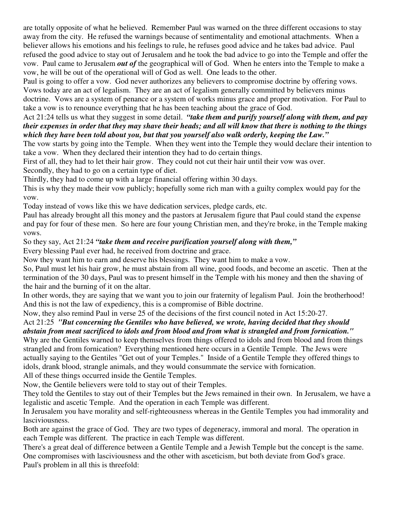are totally opposite of what he believed. Remember Paul was warned on the three different occasions to stay away from the city. He refused the warnings because of sentimentality and emotional attachments. When a believer allows his emotions and his feelings to rule, he refuses good advice and he takes bad advice. Paul refused the good advice to stay out of Jerusalem and he took the bad advice to go into the Temple and offer the vow. Paul came to Jerusalem *out of* the geographical will of God. When he enters into the Temple to make a vow, he will be out of the operational will of God as well. One leads to the other.

Paul is going to offer a vow. God never authorizes any believers to compromise doctrine by offering vows. Vows today are an act of legalism. They are an act of legalism generally committed by believers minus doctrine. Vows are a system of penance or a system of works minus grace and proper motivation. For Paul to take a vow is to renounce everything that he has been teaching about the grace of God.

## Act 21:24 tells us what they suggest in some detail. *"take them and purify yourself along with them, and pay* their expenses in order that they may shave their heads; and all will know that there is nothing to the things *which they have been told about you, but that you yourself also walk orderly, keeping the Law."*

The vow starts by going into the Temple. When they went into the Temple they would declare their intention to take a vow. When they declared their intention they had to do certain things.

First of all, they had to let their hair grow. They could not cut their hair until their vow was over.

Secondly, they had to go on a certain type of diet.

Thirdly, they had to come up with a large financial offering within 30 days.

This is why they made their vow publicly; hopefully some rich man with a guilty complex would pay for the vow.

Today instead of vows like this we have dedication services, pledge cards, etc.

Paul has already brought all this money and the pastors at Jerusalem figure that Paul could stand the expense and pay for four of these men. So here are four young Christian men, and they're broke, in the Temple making vows.

So they say, Act 21:24 *"take them and receive purification yourself along with them,"*

Every blessing Paul ever had, he received from doctrine and grace.

Now they want him to earn and deserve his blessings. They want him to make a vow.

So, Paul must let his hair grow, he must abstain from all wine, good foods, and become an ascetic. Then at the termination of the 30 days, Paul was to present himself in the Temple with his money and then the shaving of the hair and the burning of it on the altar.

In other words, they are saying that we want you to join our fraternity of legalism Paul. Join the brotherhood! And this is not the law of expediency, this is a compromise of Bible doctrine.

Now, they also remind Paul in verse 25 of the decisions of the first council noted in Act 15:20-27.

## Act 21:25 *"But concerning the Gentiles who have believed, we wrote, having decided that they should abstain from meat sacrificed to idols and from blood and from what is strangled and from fornication."*

Why are the Gentiles warned to keep themselves from things offered to idols and from blood and from things strangled and from fornication? Everything mentioned here occurs in a Gentile Temple. The Jews were actually saying to the Gentiles "Get out of your Temples." Inside of a Gentile Temple they offered things to idols, drank blood, strangle animals, and they would consummate the service with fornication.

All of these things occurred inside the Gentile Temples.

Now, the Gentile believers were told to stay out of their Temples.

They told the Gentiles to stay out of their Temples but the Jews remained in their own. In Jerusalem, we have a legalistic and ascetic Temple. And the operation in each Temple was different.

In Jerusalem you have morality and self-righteousness whereas in the Gentile Temples you had immorality and lasciviousness.

Both are against the grace of God. They are two types of degeneracy, immoral and moral. The operation in each Temple was different. The practice in each Temple was different.

There's a great deal of difference between a Gentile Temple and a Jewish Temple but the concept is the same. One compromises with lasciviousness and the other with asceticism, but both deviate from God's grace. Paul's problem in all this is threefold: